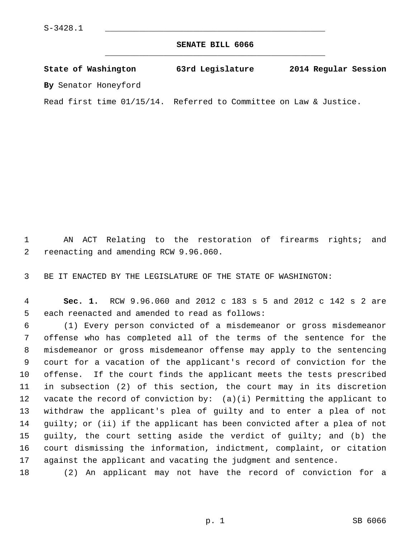**SENATE BILL 6066** \_\_\_\_\_\_\_\_\_\_\_\_\_\_\_\_\_\_\_\_\_\_\_\_\_\_\_\_\_\_\_\_\_\_\_\_\_\_\_\_\_\_\_\_\_

**State of Washington 63rd Legislature 2014 Regular Session By** Senator Honeyford

Read first time 01/15/14. Referred to Committee on Law & Justice.

 1 AN ACT Relating to the restoration of firearms rights; and 2 reenacting and amending RCW 9.96.060.

3 BE IT ENACTED BY THE LEGISLATURE OF THE STATE OF WASHINGTON:

 4 **Sec. 1.** RCW 9.96.060 and 2012 c 183 s 5 and 2012 c 142 s 2 are 5 each reenacted and amended to read as follows:

 6 (1) Every person convicted of a misdemeanor or gross misdemeanor 7 offense who has completed all of the terms of the sentence for the 8 misdemeanor or gross misdemeanor offense may apply to the sentencing 9 court for a vacation of the applicant's record of conviction for the 10 offense. If the court finds the applicant meets the tests prescribed 11 in subsection (2) of this section, the court may in its discretion 12 vacate the record of conviction by: (a)(i) Permitting the applicant to 13 withdraw the applicant's plea of guilty and to enter a plea of not 14 guilty; or (ii) if the applicant has been convicted after a plea of not 15 guilty, the court setting aside the verdict of guilty; and (b) the 16 court dismissing the information, indictment, complaint, or citation 17 against the applicant and vacating the judgment and sentence.

18 (2) An applicant may not have the record of conviction for a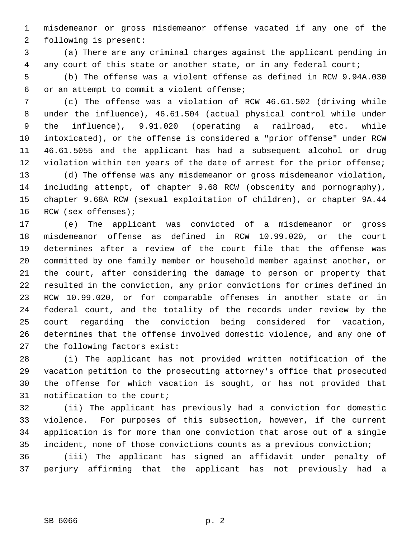1 misdemeanor or gross misdemeanor offense vacated if any one of the 2 following is present:

 3 (a) There are any criminal charges against the applicant pending in 4 any court of this state or another state, or in any federal court;

 5 (b) The offense was a violent offense as defined in RCW 9.94A.030 6 or an attempt to commit a violent offense;

 7 (c) The offense was a violation of RCW 46.61.502 (driving while 8 under the influence), 46.61.504 (actual physical control while under 9 the influence), 9.91.020 (operating a railroad, etc. while 10 intoxicated), or the offense is considered a "prior offense" under RCW 11 46.61.5055 and the applicant has had a subsequent alcohol or drug 12 violation within ten years of the date of arrest for the prior offense;

13 (d) The offense was any misdemeanor or gross misdemeanor violation, 14 including attempt, of chapter 9.68 RCW (obscenity and pornography), 15 chapter 9.68A RCW (sexual exploitation of children), or chapter 9A.44 16 RCW (sex offenses);

17 (e) The applicant was convicted of a misdemeanor or gross 18 misdemeanor offense as defined in RCW 10.99.020, or the court 19 determines after a review of the court file that the offense was 20 committed by one family member or household member against another, or 21 the court, after considering the damage to person or property that 22 resulted in the conviction, any prior convictions for crimes defined in 23 RCW 10.99.020, or for comparable offenses in another state or in 24 federal court, and the totality of the records under review by the 25 court regarding the conviction being considered for vacation, 26 determines that the offense involved domestic violence, and any one of 27 the following factors exist:

28 (i) The applicant has not provided written notification of the 29 vacation petition to the prosecuting attorney's office that prosecuted 30 the offense for which vacation is sought, or has not provided that 31 notification to the court;

32 (ii) The applicant has previously had a conviction for domestic 33 violence. For purposes of this subsection, however, if the current 34 application is for more than one conviction that arose out of a single 35 incident, none of those convictions counts as a previous conviction;

36 (iii) The applicant has signed an affidavit under penalty of 37 perjury affirming that the applicant has not previously had a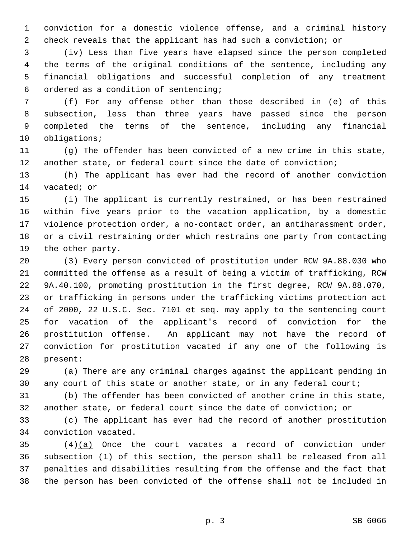1 conviction for a domestic violence offense, and a criminal history 2 check reveals that the applicant has had such a conviction; or

 3 (iv) Less than five years have elapsed since the person completed 4 the terms of the original conditions of the sentence, including any 5 financial obligations and successful completion of any treatment 6 ordered as a condition of sentencing;

 7 (f) For any offense other than those described in (e) of this 8 subsection, less than three years have passed since the person 9 completed the terms of the sentence, including any financial 10 obligations;

11 (g) The offender has been convicted of a new crime in this state, 12 another state, or federal court since the date of conviction;

13 (h) The applicant has ever had the record of another conviction 14 vacated; or

15 (i) The applicant is currently restrained, or has been restrained 16 within five years prior to the vacation application, by a domestic 17 violence protection order, a no-contact order, an antiharassment order, 18 or a civil restraining order which restrains one party from contacting 19 the other party.

20 (3) Every person convicted of prostitution under RCW 9A.88.030 who 21 committed the offense as a result of being a victim of trafficking, RCW 22 9A.40.100, promoting prostitution in the first degree, RCW 9A.88.070, 23 or trafficking in persons under the trafficking victims protection act 24 of 2000, 22 U.S.C. Sec. 7101 et seq. may apply to the sentencing court 25 for vacation of the applicant's record of conviction for the 26 prostitution offense. An applicant may not have the record of 27 conviction for prostitution vacated if any one of the following is 28 present:

29 (a) There are any criminal charges against the applicant pending in 30 any court of this state or another state, or in any federal court;

31 (b) The offender has been convicted of another crime in this state, 32 another state, or federal court since the date of conviction; or

33 (c) The applicant has ever had the record of another prostitution 34 conviction vacated.

35 (4)(a) Once the court vacates a record of conviction under 36 subsection (1) of this section, the person shall be released from all 37 penalties and disabilities resulting from the offense and the fact that 38 the person has been convicted of the offense shall not be included in